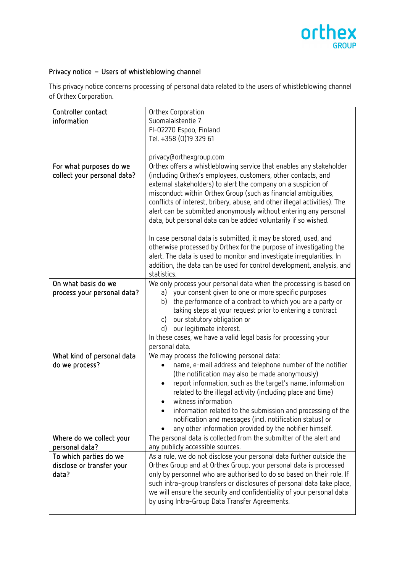

## Privacy notice – Users of whistleblowing channel

This privacy notice concerns processing of personal data related to the users of whistleblowing channel of Orthex Corporation.

| Controller contact          | Orthex Corporation                                                        |
|-----------------------------|---------------------------------------------------------------------------|
| information                 | Suomalaistentie 7                                                         |
|                             | FI-02270 Espoo, Finland                                                   |
|                             | Tel. +358 (0)19 329 61                                                    |
|                             |                                                                           |
|                             | privacy@orthexgroup.com                                                   |
| For what purposes do we     | Orthex offers a whistleblowing service that enables any stakeholder       |
| collect your personal data? | (including Orthex's employees, customers, other contacts, and             |
|                             | external stakeholders) to alert the company on a suspicion of             |
|                             | misconduct within Orthex Group (such as financial ambiguities,            |
|                             | conflicts of interest, bribery, abuse, and other illegal activities). The |
|                             | alert can be submitted anonymously without entering any personal          |
|                             |                                                                           |
|                             | data, but personal data can be added voluntarily if so wished.            |
|                             | In case personal data is submitted, it may be stored, used, and           |
|                             | otherwise processed by Orthex for the purpose of investigating the        |
|                             | alert. The data is used to monitor and investigate irregularities. In     |
|                             | addition, the data can be used for control development, analysis, and     |
|                             | statistics.                                                               |
| On what basis do we         | We only process your personal data when the processing is based on        |
| process your personal data? | your consent given to one or more specific purposes<br>a)                 |
|                             |                                                                           |
|                             | the performance of a contract to which you are a party or<br>b)           |
|                             | taking steps at your request prior to entering a contract                 |
|                             | our statutory obligation or<br>$\mathsf{C}$                               |
|                             | our legitimate interest.<br>d)                                            |
|                             | In these cases, we have a valid legal basis for processing your           |
|                             | personal data.                                                            |
| What kind of personal data  | We may process the following personal data:                               |
| do we process?              | name, e-mail address and telephone number of the notifier                 |
|                             | (the notification may also be made anonymously)                           |
|                             | report information, such as the target's name, information<br>$\bullet$   |
|                             | related to the illegal activity (including place and time)                |
|                             | witness information                                                       |
|                             | information related to the submission and processing of the               |
|                             | notification and messages (incl. notification status) or                  |
|                             | any other information provided by the notifier himself.                   |
| Where do we collect your    | The personal data is collected from the submitter of the alert and        |
| personal data?              | any publicly accessible sources.                                          |
| To which parties do we      | As a rule, we do not disclose your personal data further outside the      |
| disclose or transfer your   | Orthex Group and at Orthex Group, your personal data is processed         |
| data?                       | only by personnel who are authorised to do so based on their role. If     |
|                             | such intra-group transfers or disclosures of personal data take place,    |
|                             | we will ensure the security and confidentiality of your personal data     |
|                             | by using Intra-Group Data Transfer Agreements.                            |
|                             |                                                                           |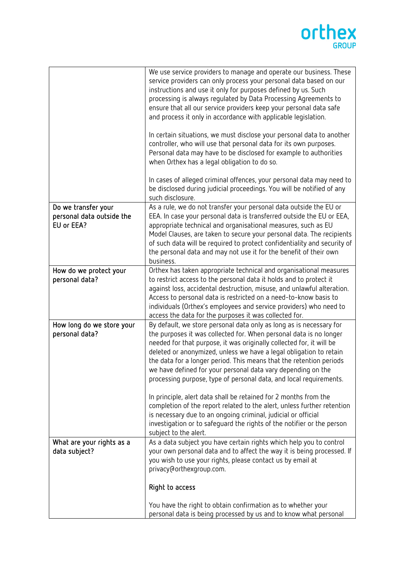## orthex

| such disclosure.<br>Do we transfer your<br>personal data outside the<br>EU or EEA?<br>appropriate technical and organisational measures, such as EU<br>business.<br>How do we protect your<br>personal data?<br>Access to personal data is restricted on a need-to-know basis to<br>access the data for the purposes it was collected for.<br>How long do we store your<br>personal data?<br>deleted or anonymized, unless we have a legal obligation to retain<br>the data for a longer period. This means that the retention periods<br>subject to the alert.<br>What are your rights as a | In cases of alleged criminal offences, your personal data may need to<br>be disclosed during judicial proceedings. You will be notified of any                                                                                                                                                                                                                                                                                 |
|----------------------------------------------------------------------------------------------------------------------------------------------------------------------------------------------------------------------------------------------------------------------------------------------------------------------------------------------------------------------------------------------------------------------------------------------------------------------------------------------------------------------------------------------------------------------------------------------|--------------------------------------------------------------------------------------------------------------------------------------------------------------------------------------------------------------------------------------------------------------------------------------------------------------------------------------------------------------------------------------------------------------------------------|
|                                                                                                                                                                                                                                                                                                                                                                                                                                                                                                                                                                                              |                                                                                                                                                                                                                                                                                                                                                                                                                                |
|                                                                                                                                                                                                                                                                                                                                                                                                                                                                                                                                                                                              | As a rule, we do not transfer your personal data outside the EU or                                                                                                                                                                                                                                                                                                                                                             |
|                                                                                                                                                                                                                                                                                                                                                                                                                                                                                                                                                                                              | EEA. In case your personal data is transferred outside the EU or EEA,                                                                                                                                                                                                                                                                                                                                                          |
|                                                                                                                                                                                                                                                                                                                                                                                                                                                                                                                                                                                              | Model Clauses, are taken to secure your personal data. The recipients                                                                                                                                                                                                                                                                                                                                                          |
|                                                                                                                                                                                                                                                                                                                                                                                                                                                                                                                                                                                              | of such data will be required to protect confidentiality and security of                                                                                                                                                                                                                                                                                                                                                       |
|                                                                                                                                                                                                                                                                                                                                                                                                                                                                                                                                                                                              | the personal data and may not use it for the benefit of their own                                                                                                                                                                                                                                                                                                                                                              |
|                                                                                                                                                                                                                                                                                                                                                                                                                                                                                                                                                                                              |                                                                                                                                                                                                                                                                                                                                                                                                                                |
|                                                                                                                                                                                                                                                                                                                                                                                                                                                                                                                                                                                              | Orthex has taken appropriate technical and organisational measures                                                                                                                                                                                                                                                                                                                                                             |
|                                                                                                                                                                                                                                                                                                                                                                                                                                                                                                                                                                                              | to restrict access to the personal data it holds and to protect it                                                                                                                                                                                                                                                                                                                                                             |
|                                                                                                                                                                                                                                                                                                                                                                                                                                                                                                                                                                                              | against loss, accidental destruction, misuse, and unlawful alteration.                                                                                                                                                                                                                                                                                                                                                         |
|                                                                                                                                                                                                                                                                                                                                                                                                                                                                                                                                                                                              | individuals (Orthex's employees and service providers) who need to                                                                                                                                                                                                                                                                                                                                                             |
|                                                                                                                                                                                                                                                                                                                                                                                                                                                                                                                                                                                              |                                                                                                                                                                                                                                                                                                                                                                                                                                |
|                                                                                                                                                                                                                                                                                                                                                                                                                                                                                                                                                                                              | By default, we store personal data only as long as is necessary for                                                                                                                                                                                                                                                                                                                                                            |
|                                                                                                                                                                                                                                                                                                                                                                                                                                                                                                                                                                                              | the purposes it was collected for. When personal data is no longer                                                                                                                                                                                                                                                                                                                                                             |
|                                                                                                                                                                                                                                                                                                                                                                                                                                                                                                                                                                                              | needed for that purpose, it was originally collected for, it will be                                                                                                                                                                                                                                                                                                                                                           |
|                                                                                                                                                                                                                                                                                                                                                                                                                                                                                                                                                                                              |                                                                                                                                                                                                                                                                                                                                                                                                                                |
|                                                                                                                                                                                                                                                                                                                                                                                                                                                                                                                                                                                              |                                                                                                                                                                                                                                                                                                                                                                                                                                |
|                                                                                                                                                                                                                                                                                                                                                                                                                                                                                                                                                                                              |                                                                                                                                                                                                                                                                                                                                                                                                                                |
|                                                                                                                                                                                                                                                                                                                                                                                                                                                                                                                                                                                              |                                                                                                                                                                                                                                                                                                                                                                                                                                |
|                                                                                                                                                                                                                                                                                                                                                                                                                                                                                                                                                                                              | In principle, alert data shall be retained for 2 months from the                                                                                                                                                                                                                                                                                                                                                               |
|                                                                                                                                                                                                                                                                                                                                                                                                                                                                                                                                                                                              | completion of the report related to the alert, unless further retention                                                                                                                                                                                                                                                                                                                                                        |
|                                                                                                                                                                                                                                                                                                                                                                                                                                                                                                                                                                                              |                                                                                                                                                                                                                                                                                                                                                                                                                                |
|                                                                                                                                                                                                                                                                                                                                                                                                                                                                                                                                                                                              |                                                                                                                                                                                                                                                                                                                                                                                                                                |
|                                                                                                                                                                                                                                                                                                                                                                                                                                                                                                                                                                                              |                                                                                                                                                                                                                                                                                                                                                                                                                                |
|                                                                                                                                                                                                                                                                                                                                                                                                                                                                                                                                                                                              |                                                                                                                                                                                                                                                                                                                                                                                                                                |
|                                                                                                                                                                                                                                                                                                                                                                                                                                                                                                                                                                                              | you wish to use your rights, please contact us by email at                                                                                                                                                                                                                                                                                                                                                                     |
| privacy@orthexgroup.com.                                                                                                                                                                                                                                                                                                                                                                                                                                                                                                                                                                     |                                                                                                                                                                                                                                                                                                                                                                                                                                |
|                                                                                                                                                                                                                                                                                                                                                                                                                                                                                                                                                                                              |                                                                                                                                                                                                                                                                                                                                                                                                                                |
|                                                                                                                                                                                                                                                                                                                                                                                                                                                                                                                                                                                              |                                                                                                                                                                                                                                                                                                                                                                                                                                |
|                                                                                                                                                                                                                                                                                                                                                                                                                                                                                                                                                                                              |                                                                                                                                                                                                                                                                                                                                                                                                                                |
| You have the right to obtain confirmation as to whether your                                                                                                                                                                                                                                                                                                                                                                                                                                                                                                                                 |                                                                                                                                                                                                                                                                                                                                                                                                                                |
| data subject?<br>Right to access                                                                                                                                                                                                                                                                                                                                                                                                                                                                                                                                                             | we have defined for your personal data vary depending on the<br>processing purpose, type of personal data, and local requirements.<br>is necessary due to an ongoing criminal, judicial or official<br>investigation or to safeguard the rights of the notifier or the person<br>As a data subject you have certain rights which help you to control<br>your own personal data and to affect the way it is being processed. If |